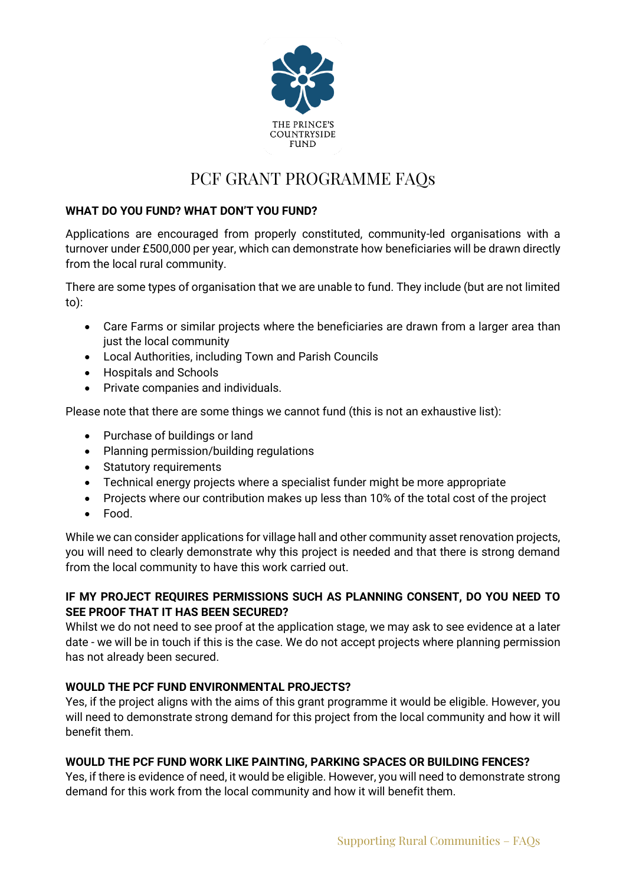

# PCF GRANT PROGRAMME FAQs

# **WHAT DO YOU FUND? WHAT DON'T YOU FUND?**

Applications are encouraged from properly constituted, community-led organisations with a turnover under £500,000 per year, which can demonstrate how beneficiaries will be drawn directly from the local rural community.

There are some types of organisation that we are unable to fund. They include (but are not limited to):

- Care Farms or similar projects where the beneficiaries are drawn from a larger area than just the local community
- Local Authorities, including Town and Parish Councils
- Hospitals and Schools
- Private companies and individuals.

Please note that there are some things we cannot fund (this is not an exhaustive list):

- Purchase of buildings or land
- Planning permission/building regulations
- Statutory requirements
- Technical energy projects where a specialist funder might be more appropriate
- Projects where our contribution makes up less than 10% of the total cost of the project
- Food.

While we can consider applications for village hall and other community asset renovation projects, you will need to clearly demonstrate why this project is needed and that there is strong demand from the local community to have this work carried out.

# **IF MY PROJECT REQUIRES PERMISSIONS SUCH AS PLANNING CONSENT, DO YOU NEED TO SEE PROOF THAT IT HAS BEEN SECURED?**

Whilst we do not need to see proof at the application stage, we may ask to see evidence at a later date - we will be in touch if this is the case. We do not accept projects where planning permission has not already been secured.

## **WOULD THE PCF FUND ENVIRONMENTAL PROJECTS?**

Yes, if the project aligns with the aims of this grant programme it would be eligible. However, you will need to demonstrate strong demand for this project from the local community and how it will benefit them.

## **WOULD THE PCF FUND WORK LIKE PAINTING, PARKING SPACES OR BUILDING FENCES?**

Yes, if there is evidence of need, it would be eligible. However, you will need to demonstrate strong demand for this work from the local community and how it will benefit them.